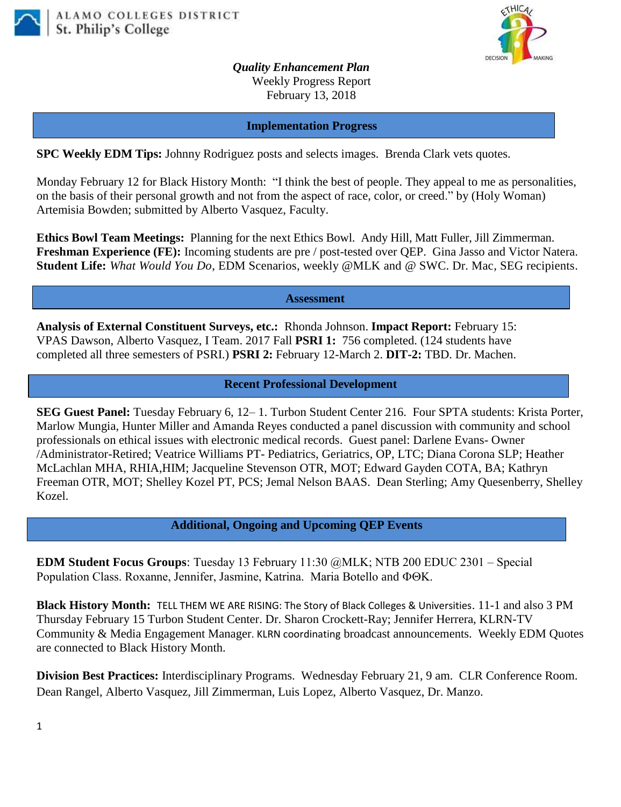



*Quality Enhancement Plan* Weekly Progress Report February 13, 2018

**Implementation Progress**

**SPC Weekly EDM Tips:** Johnny Rodriguez posts and selects images. Brenda Clark vets quotes.

Monday February 12 for Black History Month: "I think the best of people. They appeal to me as personalities, on the basis of their personal growth and not from the aspect of race, color, or creed." by (Holy Woman) Artemisia Bowden; submitted by Alberto Vasquez, Faculty.

**Ethics Bowl Team Meetings:** Planning for the next Ethics Bowl.Andy Hill, Matt Fuller, Jill Zimmerman. **Freshman Experience (FE):** Incoming students are pre / post-tested over QEP. Gina Jasso and Victor Natera. **Student Life:** *What Would You Do*, EDM Scenarios, weekly @MLK and @ SWC. Dr. Mac, SEG recipients.

**Assessment**

**Analysis of External Constituent Surveys, etc.:** Rhonda Johnson. **Impact Report:** February 15: VPAS Dawson, Alberto Vasquez, I Team. 2017 Fall **PSRI 1:** 756 completed. (124 students have completed all three semesters of PSRI.) **PSRI 2:** February 12-March 2. **DIT-2:** TBD. Dr. Machen.

## **Recent Professional Development**

**SEG Guest Panel:** Tuesday February 6, 12– 1. Turbon Student Center 216. Four SPTA students: Krista Porter, Marlow Mungia, Hunter Miller and Amanda Reyes conducted a panel discussion with community and school professionals on ethical issues with electronic medical records. Guest panel: Darlene Evans- Owner /Administrator-Retired; Veatrice Williams PT- Pediatrics, Geriatrics, OP, LTC; Diana Corona SLP; Heather McLachlan MHA, RHIA,HIM; Jacqueline Stevenson OTR, MOT; Edward Gayden COTA, BA; Kathryn Freeman OTR, MOT; Shelley Kozel PT, PCS; Jemal Nelson BAAS. Dean Sterling; Amy Quesenberry, Shelley Kozel.

**Additional, Ongoing and Upcoming QEP Events**

**EDM Student Focus Groups**: Tuesday 13 February 11:30 @MLK; NTB 200 EDUC 2301 – Special Population Class. Roxanne, Jennifer, Jasmine, Katrina. Maria Botello and  $\Phi\Theta K$ .

**Black History Month:** [TELL THEM WE ARE RISING: The Story of Black Colleges & Universities](https://mail.alamo.edu/owa/redir.aspx?C=p_vRYKzivpqE5jB8ZeqSiTVs1F6XJd3V8aD2dXT8ByOipnSRzDbVCA..&URL=https%3a%2f%2fyoutu.be%2fu8hmqpAzjRo). 11-1 and also 3 PM Thursday February 15 Turbon Student Center. Dr. Sharon Crockett-Ray; Jennifer Herrera, KLRN-TV Community & Media Engagement Manager. KLRN coordinating broadcast announcements. Weekly EDM Quotes are connected to Black History Month.

**Division Best Practices:** Interdisciplinary Programs. Wednesday February 21, 9 am. CLR Conference Room. Dean Rangel, Alberto Vasquez, Jill Zimmerman, Luis Lopez, Alberto Vasquez, Dr. Manzo.